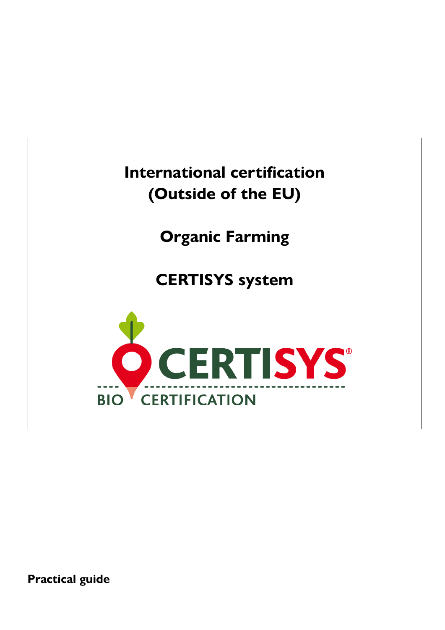

**Practical guide**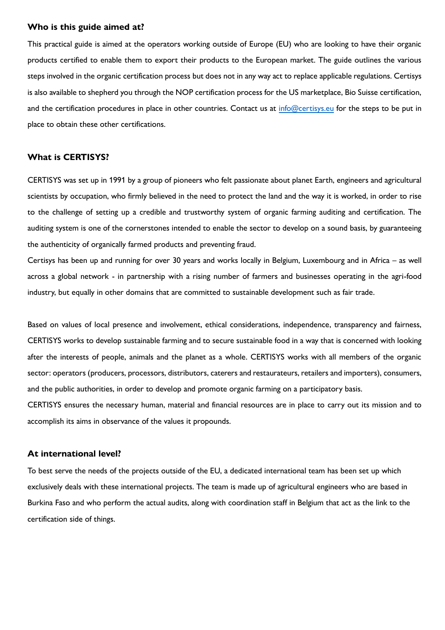#### **Who is this guide aimed at?**

This practical guide is aimed at the operators working outside of Europe (EU) who are looking to have their organic products certified to enable them to export their products to the European market. The guide outlines the various steps involved in the organic certification process but does not in any way act to replace applicable regulations. Certisys is also available to shepherd you through the NOP certification process for the US marketplace, Bio Suisse certification, and the certification procedures in place in other countries. Contact us at [info@certisys.eu](mailto:info@certisys.eu) for the steps to be put in place to obtain these other certifications.

#### **What is CERTISYS?**

CERTISYS was set up in 1991 by a group of pioneers who felt passionate about planet Earth, engineers and agricultural scientists by occupation, who firmly believed in the need to protect the land and the way it is worked, in order to rise to the challenge of setting up a credible and trustworthy system of organic farming auditing and certification. The auditing system is one of the cornerstones intended to enable the sector to develop on a sound basis, by guaranteeing the authenticity of organically farmed products and preventing fraud.

Certisys has been up and running for over 30 years and works locally in Belgium, Luxembourg and in Africa – as well across a global network - in partnership with a rising number of farmers and businesses operating in the agri-food industry, but equally in other domains that are committed to sustainable development such as fair trade.

Based on values of local presence and involvement, ethical considerations, independence, transparency and fairness, CERTISYS works to develop sustainable farming and to secure sustainable food in a way that is concerned with looking after the interests of people, animals and the planet as a whole. CERTISYS works with all members of the organic sector: operators (producers, processors, distributors, caterers and restaurateurs, retailers and importers), consumers, and the public authorities, in order to develop and promote organic farming on a participatory basis.

CERTISYS ensures the necessary human, material and financial resources are in place to carry out its mission and to accomplish its aims in observance of the values it propounds.

#### **At international level?**

To best serve the needs of the projects outside of the EU, a dedicated international team has been set up which exclusively deals with these international projects. The team is made up of agricultural engineers who are based in Burkina Faso and who perform the actual audits, along with coordination staff in Belgium that act as the link to the certification side of things.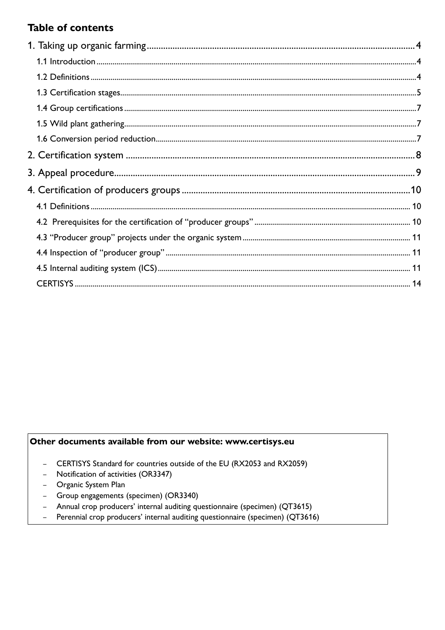# **Table of contents**

# Other documents available from our website: www.certisys.eu

- CERTISYS Standard for countries outside of the EU (RX2053 and RX2059)
- Notification of activities (OR3347)
- Organic System Plan
- Group engagements (specimen) (OR3340)
- Annual crop producers' internal auditing questionnaire (specimen) (QT3615)
- Perennial crop producers' internal auditing questionnaire (specimen) (QT3616)  $\frac{1}{2}$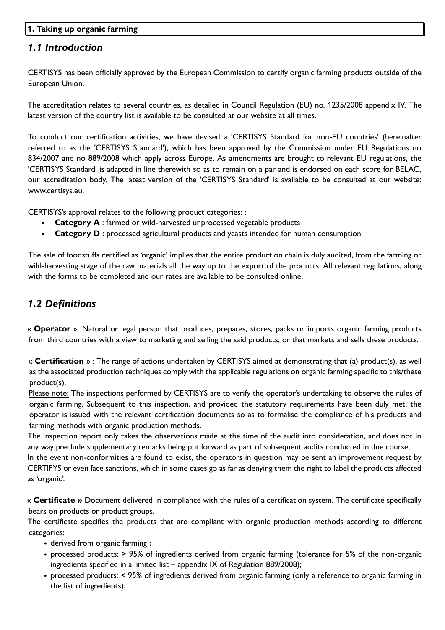### **1. Taking up organic farming**

## *1.1 Introduction*

CERTISYS has been officially approved by the European Commission to certify organic farming products outside of the European Union.

The accreditation relates to several countries, as detailed in Council Regulation (EU) no. 1235/2008 appendix IV. The latest version of the country list is available to be consulted at our website at all times.

To conduct our certification activities, we have devised a 'CERTISYS Standard for non-EU countries' (hereinafter referred to as the 'CERTISYS Standard'), which has been approved by the Commission under EU Regulations no 834/2007 and no 889/2008 which apply across Europe. As amendments are brought to relevant EU regulations, the 'CERTISYS Standard' is adapted in line therewith so as to remain on a par and is endorsed on each score for BELAC, our accreditation body. The latest version of the 'CERTISYS Standard' is available to be consulted at our website: [www.certisys.eu.](http://www.certisys.eu/)

CERTISYS's approval relates to the following product categories: :

- **Category A** : farmed or wild-harvested unprocessed vegetable products
- **Category D** : processed agricultural products and yeasts intended for human consumption

The sale of foodstuffs certified as 'organic' implies that the entire production chain is duly audited, from the farming or wild-harvesting stage of the raw materials all the way up to the export of the products. All relevant regulations, along with the forms to be completed and our rates are available to be consulted online.

# *1.2 Definitions*

« **Operator** »: Natural or legal person that produces, prepares, stores, packs or imports organic farming products from third countries with a view to marketing and selling the said products, or that markets and sells these products.

« **Certification** » : The range of actions undertaken by CERTISYS aimed at demonstrating that (a) product(s), as well as the associated production techniques comply with the applicable regulations on organic farming specific to this/these product(s).

Please note: The inspections performed by CERTISYS are to verify the operator's undertaking to observe the rules of organic farming. Subsequent to this inspection, and provided the statutory requirements have been duly met, the operator is issued with the relevant certification documents so as to formalise the compliance of his products and farming methods with organic production methods.

The inspection report only takes the observations made at the time of the audit into consideration, and does not in any way preclude supplementary remarks being put forward as part of subsequent audits conducted in due course.

In the event non-conformities are found to exist, the operators in question may be sent an improvement request by CERTIFYS or even face sanctions, which in some cases go as far as denying them the right to label the products affected as 'organic'.

« **Certificate »** Document delivered in compliance with the rules of a certification system. The certificate specifically bears on products or product groups.

The certificate specifies the products that are compliant with organic production methods according to different categories:

- derived from organic farming ;
- processed products: > 95% of ingredients derived from organic farming (tolerance for 5% of the non-organic ingredients specified in a limited list – appendix IX of Regulation 889/2008);
- processed products: < 95% of ingredients derived from organic farming (only a reference to organic farming in the list of ingredients);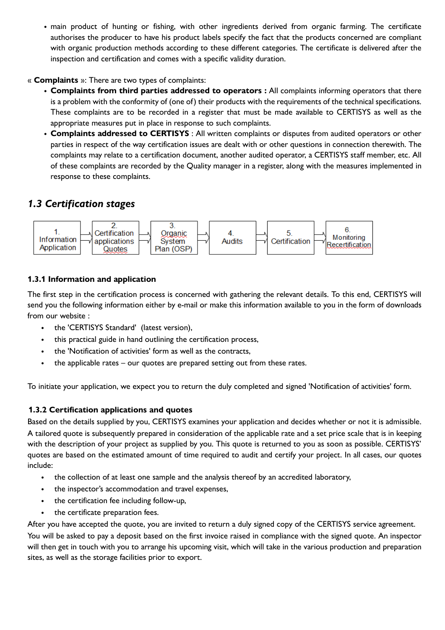• main product of hunting or fishing, with other ingredients derived from organic farming. The certificate authorises the producer to have his product labels specify the fact that the products concerned are compliant with organic production methods according to these different categories. The certificate is delivered after the inspection and certification and comes with a specific validity duration.

#### « **Complaints** »: There are two types of complaints:

- **Complaints from third parties addressed to operators :** All complaints informing operators that there is a problem with the conformity of (one of) their products with the requirements of the technical specifications. These complaints are to be recorded in a register that must be made available to CERTISYS as well as the appropriate measures put in place in response to such complaints.
- **Complaints addressed to CERTISYS** : All written complaints or disputes from audited operators or other parties in respect of the way certification issues are dealt with or other questions in connection therewith. The complaints may relate to a certification document, another audited operator, a CERTISYS staff member, etc. All of these complaints are recorded by the Quality manager in a register, along with the measures implemented in response to these complaints.

## *1.3 Certification stages*



### **1.3.1 Information and application**

The first step in the certification process is concerned with gathering the relevant details. To this end, CERTISYS will send you the following information either by e-mail or make this information available to you in the form of downloads from our website :

- the 'CERTISYS Standard' (latest version),
- this practical guide in hand outlining the certification process,
- the 'Notification of activities' form as well as the contracts,
- the applicable rates  $-$  our quotes are prepared setting out from these rates.

To initiate your application, we expect you to return the duly completed and signed 'Notification of activities' form.

#### **1.3.2 Certification applications and quotes**

Based on the details supplied by you, CERTISYS examines your application and decides whether or not it is admissible. A tailored quote is subsequently prepared in consideration of the applicable rate and a set price scale that is in keeping with the description of your project as supplied by you. This quote is returned to you as soon as possible. CERTISYS' quotes are based on the estimated amount of time required to audit and certify your project. In all cases, our quotes include:

- the collection of at least one sample and the analysis thereof by an accredited laboratory,
- the inspector's accommodation and travel expenses,
- the certification fee including follow-up,
- the certificate preparation fees.

After you have accepted the quote, you are invited to return a duly signed copy of the CERTISYS service agreement. You will be asked to pay a deposit based on the first invoice raised in compliance with the signed quote. An inspector will then get in touch with you to arrange his upcoming visit, which will take in the various production and preparation sites, as well as the storage facilities prior to export.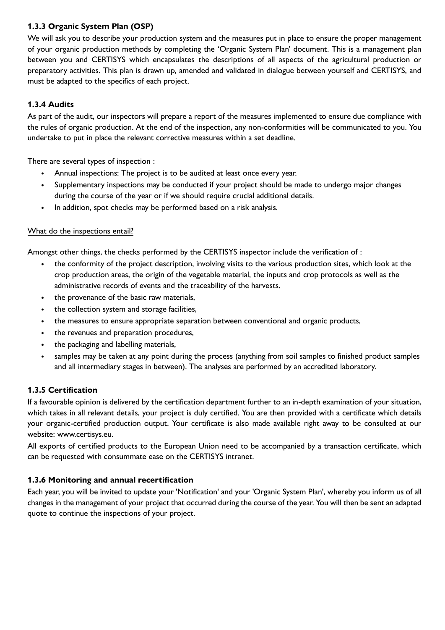## **1.3.3 Organic System Plan (OSP)**

We will ask you to describe your production system and the measures put in place to ensure the proper management of your organic production methods by completing the 'Organic System Plan' document. This is a management plan between you and CERTISYS which encapsulates the descriptions of all aspects of the agricultural production or preparatory activities. This plan is drawn up, amended and validated in dialogue between yourself and CERTISYS, and must be adapted to the specifics of each project.

### **1.3.4 Audits**

As part of the audit, our inspectors will prepare a report of the measures implemented to ensure due compliance with the rules of organic production. At the end of the inspection, any non-conformities will be communicated to you. You undertake to put in place the relevant corrective measures within a set deadline.

There are several types of inspection :

- Annual inspections: The project is to be audited at least once every year.
- Supplementary inspections may be conducted if your project should be made to undergo major changes during the course of the year or if we should require crucial additional details.
- In addition, spot checks may be performed based on a risk analysis.

### What do the inspections entail?

Amongst other things, the checks performed by the CERTISYS inspector include the verification of :

- the conformity of the project description, involving visits to the various production sites, which look at the crop production areas, the origin of the vegetable material, the inputs and crop protocols as well as the administrative records of events and the traceability of the harvests.
- the provenance of the basic raw materials,
- the collection system and storage facilities,
- the measures to ensure appropriate separation between conventional and organic products,
- the revenues and preparation procedures,
- the packaging and labelling materials,
- samples may be taken at any point during the process (anything from soil samples to finished product samples and all intermediary stages in between). The analyses are performed by an accredited laboratory.

### **1.3.5 Certification**

If a favourable opinion is delivered by the certification department further to an in-depth examination of your situation, which takes in all relevant details, your project is duly certified. You are then provided with a certificate which details your organic-certified production output. Your certificate is also made available right away to be consulted at our website: www.certisys.eu.

All exports of certified products to the European Union need to be accompanied by a transaction certificate, which can be requested with consummate ease on the CERTISYS intranet.

### **1.3.6 Monitoring and annual recertification**

Each year, you will be invited to update your 'Notification' and your 'Organic System Plan', whereby you inform us of all changes in the management of your project that occurred during the course of the year. You will then be sent an adapted quote to continue the inspections of your project.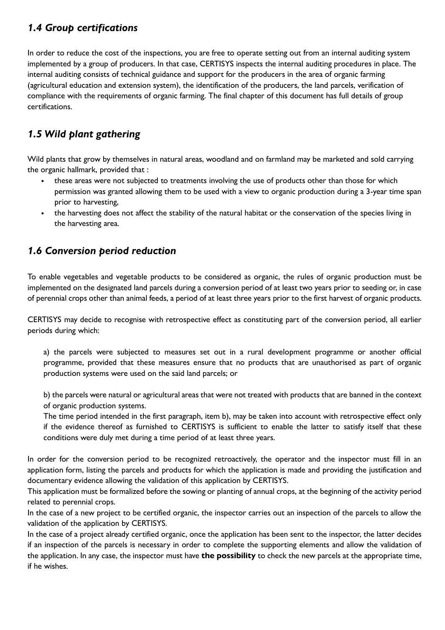# *1.4 Group certifications*

In order to reduce the cost of the inspections, you are free to operate setting out from an internal auditing system implemented by a group of producers. In that case, CERTISYS inspects the internal auditing procedures in place. The internal auditing consists of technical guidance and support for the producers in the area of organic farming (agricultural education and extension system), the identification of the producers, the land parcels, verification of compliance with the requirements of organic farming. The final chapter of this document has full details of group certifications.

# *1.5 Wild plant gathering*

Wild plants that grow by themselves in natural areas, woodland and on farmland may be marketed and sold carrying the organic hallmark, provided that :

- these areas were not subjected to treatments involving the use of products other than those for which permission was granted allowing them to be used with a view to organic production during a 3-year time span prior to harvesting,
- the harvesting does not affect the stability of the natural habitat or the conservation of the species living in the harvesting area.

# *1.6 Conversion period reduction*

To enable vegetables and vegetable products to be considered as organic, the rules of organic production must be implemented on the designated land parcels during a conversion period of at least two years prior to seeding or, in case of perennial crops other than animal feeds, a period of at least three years prior to the first harvest of organic products.

CERTISYS may decide to recognise with retrospective effect as constituting part of the conversion period, all earlier periods during which:

a) the parcels were subjected to measures set out in a rural development programme or another official programme, provided that these measures ensure that no products that are unauthorised as part of organic production systems were used on the said land parcels; or

b) the parcels were natural or agricultural areas that were not treated with products that are banned in the context of organic production systems.

The time period intended in the first paragraph, item b), may be taken into account with retrospective effect only if the evidence thereof as furnished to CERTISYS is sufficient to enable the latter to satisfy itself that these conditions were duly met during a time period of at least three years.

In order for the conversion period to be recognized retroactively, the operator and the inspector must fill in an application form, listing the parcels and products for which the application is made and providing the justification and documentary evidence allowing the validation of this application by CERTISYS.

This application must be formalized before the sowing or planting of annual crops, at the beginning of the activity period related to perennial crops.

In the case of a new project to be certified organic, the inspector carries out an inspection of the parcels to allow the validation of the application by CERTISYS.

In the case of a project already certified organic, once the application has been sent to the inspector, the latter decides if an inspection of the parcels is necessary in order to complete the supporting elements and allow the validation of the application. In any case, the inspector must have **the possibility** to check the new parcels at the appropriate time, if he wishes.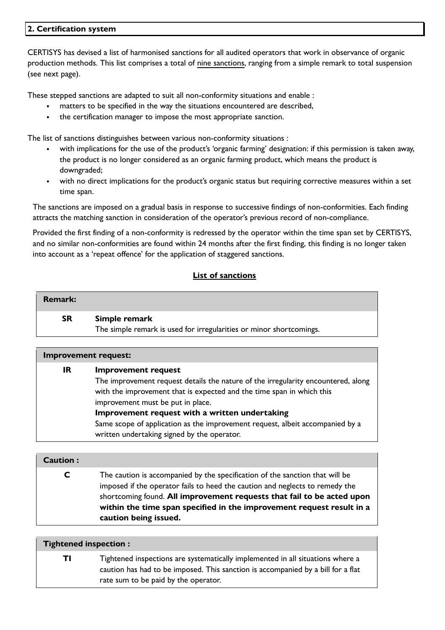### **2. Certification system**

CERTISYS has devised a list of harmonised sanctions for all audited operators that work in observance of organic production methods. This list comprises a total of nine sanctions, ranging from a simple remark to total suspension (see next page).

These stepped sanctions are adapted to suit all non-conformity situations and enable :

- matters to be specified in the way the situations encountered are described,
- the certification manager to impose the most appropriate sanction.

The list of sanctions distinguishes between various non-conformity situations :

- with implications for the use of the product's 'organic farming' designation: if this permission is taken away, the product is no longer considered as an organic farming product, which means the product is downgraded;
- with no direct implications for the product's organic status but requiring corrective measures within a set time span.

The sanctions are imposed on a gradual basis in response to successive findings of non-conformities. Each finding attracts the matching sanction in consideration of the operator's previous record of non-compliance.

Provided the first finding of a non-conformity is redressed by the operator within the time span set by CERTISYS, and no similar non-conformities are found within 24 months after the first finding, this finding is no longer taken into account as a 'repeat offence' for the application of staggered sanctions.

### **List of sanctions**

| Remark:   |                                                                     |
|-----------|---------------------------------------------------------------------|
| <b>SR</b> | Simple remark                                                       |
|           | The simple remark is used for irregularities or minor shortcomings. |

| <b>Improvement request:</b> |                                                                                   |  |  |  |
|-----------------------------|-----------------------------------------------------------------------------------|--|--|--|
| IR                          | <b>Improvement request</b>                                                        |  |  |  |
|                             | The improvement request details the nature of the irregularity encountered, along |  |  |  |
|                             | with the improvement that is expected and the time span in which this             |  |  |  |
|                             | improvement must be put in place.                                                 |  |  |  |
|                             | Improvement request with a written undertaking                                    |  |  |  |
|                             | Same scope of application as the improvement request, albeit accompanied by a     |  |  |  |
|                             | written undertaking signed by the operator.                                       |  |  |  |

#### **Caution :**

**C** The caution is accompanied by the specification of the sanction that will be imposed if the operator fails to heed the caution and neglects to remedy the shortcoming found. **All improvement requests that fail to be acted upon within the time span specified in the improvement request result in a caution being issued.**

#### **Tightened inspection :**

**TI** Tightened inspections are systematically implemented in all situations where a caution has had to be imposed. This sanction is accompanied by a bill for a flat rate sum to be paid by the operator.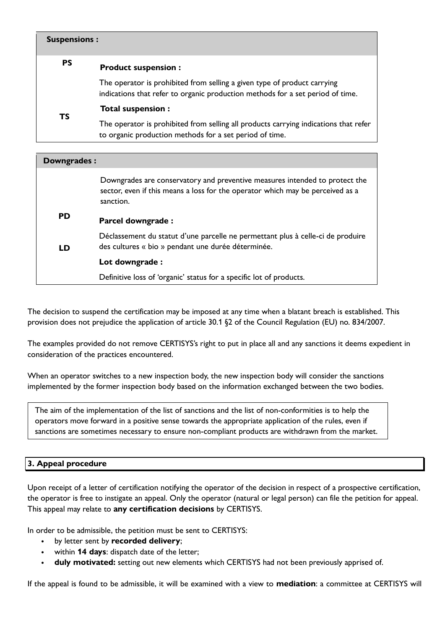| <b>Suspensions:</b> |                                                                                                                                                            |
|---------------------|------------------------------------------------------------------------------------------------------------------------------------------------------------|
| <b>PS</b>           | <b>Product suspension:</b>                                                                                                                                 |
|                     | The operator is prohibited from selling a given type of product carrying<br>indications that refer to organic production methods for a set period of time. |
| <b>TS</b>           | Total suspension :                                                                                                                                         |
|                     | The operator is prohibited from selling all products carrying indications that refer<br>to organic production methods for a set period of time.            |

| Downgrades: |                                                                                                                                                                            |
|-------------|----------------------------------------------------------------------------------------------------------------------------------------------------------------------------|
|             | Downgrades are conservatory and preventive measures intended to protect the<br>sector, even if this means a loss for the operator which may be perceived as a<br>sanction. |
| <b>PD</b>   | Parcel downgrade :                                                                                                                                                         |
| <b>LD</b>   | Déclassement du statut d'une parcelle ne permettant plus à celle-ci de produire<br>des cultures « bio » pendant une durée déterminée.                                      |
|             | Lot downgrade :                                                                                                                                                            |
|             | Definitive loss of 'organic' status for a specific lot of products.                                                                                                        |

The decision to suspend the certification may be imposed at any time when a blatant breach is established. This provision does not prejudice the application of article 30.1 §2 of the Council Regulation (EU) no. 834/2007.

The examples provided do not remove CERTISYS's right to put in place all and any sanctions it deems expedient in consideration of the practices encountered.

When an operator switches to a new inspection body, the new inspection body will consider the sanctions implemented by the former inspection body based on the information exchanged between the two bodies.

The aim of the implementation of the list of sanctions and the list of non-conformities is to help the operators move forward in a positive sense towards the appropriate application of the rules, even if sanctions are sometimes necessary to ensure non-compliant products are withdrawn from the market.

### **3. Appeal procedure**

Upon receipt of a letter of certification notifying the operator of the decision in respect of a prospective certification, the operator is free to instigate an appeal. Only the operator (natural or legal person) can file the petition for appeal. This appeal may relate to **any certification decisions** by CERTISYS.

In order to be admissible, the petition must be sent to CERTISYS:

- by letter sent by **recorded delivery**;
- within **14 days**: dispatch date of the letter;
- **duly motivated:** setting out new elements which CERTISYS had not been previously apprised of.

If the appeal is found to be admissible, it will be examined with a view to **mediation**: a committee at CERTISYS will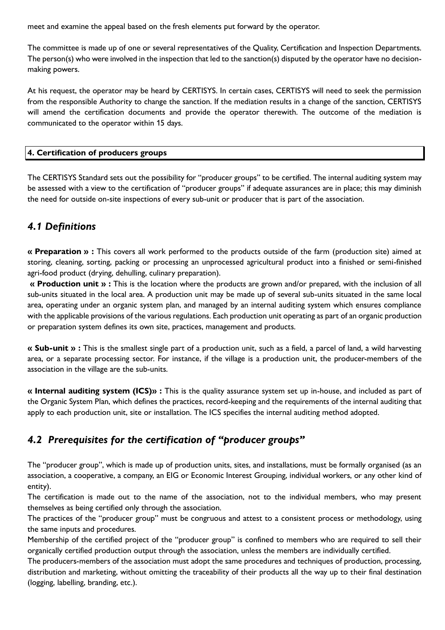meet and examine the appeal based on the fresh elements put forward by the operator.

The committee is made up of one or several representatives of the Quality, Certification and Inspection Departments. The person(s) who were involved in the inspection that led to the sanction(s) disputed by the operator have no decisionmaking powers.

At his request, the operator may be heard by CERTISYS. In certain cases, CERTISYS will need to seek the permission from the responsible Authority to change the sanction. If the mediation results in a change of the sanction, CERTISYS will amend the certification documents and provide the operator therewith. The outcome of the mediation is communicated to the operator within 15 days.

#### **4. Certification of producers groups**

The CERTISYS Standard sets out the possibility for "producer groups" to be certified. The internal auditing system may be assessed with a view to the certification of "producer groups" if adequate assurances are in place; this may diminish the need for outside on-site inspections of every sub-unit or producer that is part of the association.

## *4.1 Definitions*

**« Preparation » :** This covers all work performed to the products outside of the farm (production site) aimed at storing, cleaning, sorting, packing or processing an unprocessed agricultural product into a finished or semi-finished agri-food product (drying, dehulling, culinary preparation).

**« Production unit » :** This is the location where the products are grown and/or prepared, with the inclusion of all sub-units situated in the local area. A production unit may be made up of several sub-units situated in the same local area, operating under an organic system plan, and managed by an internal auditing system which ensures compliance with the applicable provisions of the various regulations. Each production unit operating as part of an organic production or preparation system defines its own site, practices, management and products.

**« Sub-unit » :** This is the smallest single part of a production unit, such as a field, a parcel of land, a wild harvesting area, or a separate processing sector. For instance, if the village is a production unit, the producer-members of the association in the village are the sub-units.

**« Internal auditing system (ICS)» :** This is the quality assurance system set up in-house, and included as part of the Organic System Plan, which defines the practices, record-keeping and the requirements of the internal auditing that apply to each production unit, site or installation. The ICS specifies the internal auditing method adopted.

## *4.2 Prerequisites for the certification of "producer groups"*

The "producer group", which is made up of production units, sites, and installations, must be formally organised (as an association, a cooperative, a company, an EIG or Economic Interest Grouping, individual workers, or any other kind of entity).

The certification is made out to the name of the association, not to the individual members, who may present themselves as being certified only through the association.

The practices of the "producer group" must be congruous and attest to a consistent process or methodology, using the same inputs and procedures.

Membership of the certified project of the "producer group" is confined to members who are required to sell their organically certified production output through the association, unless the members are individually certified.

The producers-members of the association must adopt the same procedures and techniques of production, processing, distribution and marketing, without omitting the traceability of their products all the way up to their final destination (logging, labelling, branding, etc.).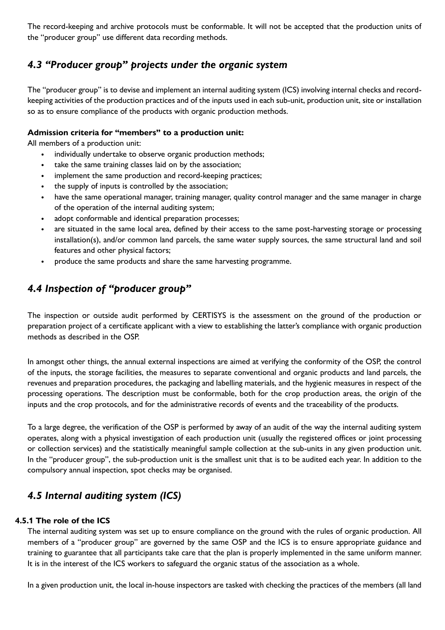The record-keeping and archive protocols must be conformable. It will not be accepted that the production units of the "producer group" use different data recording methods.

# *4.3 "Producer group" projects under the organic system*

The "producer group" is to devise and implement an internal auditing system (ICS) involving internal checks and recordkeeping activities of the production practices and of the inputs used in each sub-unit, production unit, site or installation so as to ensure compliance of the products with organic production methods.

### **Admission criteria for "members" to a production unit:**

All members of a production unit:

- individually undertake to observe organic production methods;
- take the same training classes laid on by the association;
- implement the same production and record-keeping practices;
- the supply of inputs is controlled by the association;
- have the same operational manager, training manager, quality control manager and the same manager in charge of the operation of the internal auditing system;
- adopt conformable and identical preparation processes;
- are situated in the same local area, defined by their access to the same post-harvesting storage or processing installation(s), and/or common land parcels, the same water supply sources, the same structural land and soil features and other physical factors;
- produce the same products and share the same harvesting programme.

# *4.4 Inspection of "producer group"*

The inspection or outside audit performed by CERTISYS is the assessment on the ground of the production or preparation project of a certificate applicant with a view to establishing the latter's compliance with organic production methods as described in the OSP.

In amongst other things, the annual external inspections are aimed at verifying the conformity of the OSP, the control of the inputs, the storage facilities, the measures to separate conventional and organic products and land parcels, the revenues and preparation procedures, the packaging and labelling materials, and the hygienic measures in respect of the processing operations. The description must be conformable, both for the crop production areas, the origin of the inputs and the crop protocols, and for the administrative records of events and the traceability of the products.

To a large degree, the verification of the OSP is performed by away of an audit of the way the internal auditing system operates, along with a physical investigation of each production unit (usually the registered offices or joint processing or collection services) and the statistically meaningful sample collection at the sub-units in any given production unit. In the "producer group", the sub-production unit is the smallest unit that is to be audited each year. In addition to the compulsory annual inspection, spot checks may be organised.

# *4.5 Internal auditing system (ICS)*

### **4.5.1 The role of the ICS**

The internal auditing system was set up to ensure compliance on the ground with the rules of organic production. All members of a "producer group" are governed by the same OSP and the ICS is to ensure appropriate guidance and training to guarantee that all participants take care that the plan is properly implemented in the same uniform manner. It is in the interest of the ICS workers to safeguard the organic status of the association as a whole.

In a given production unit, the local in-house inspectors are tasked with checking the practices of the members (all land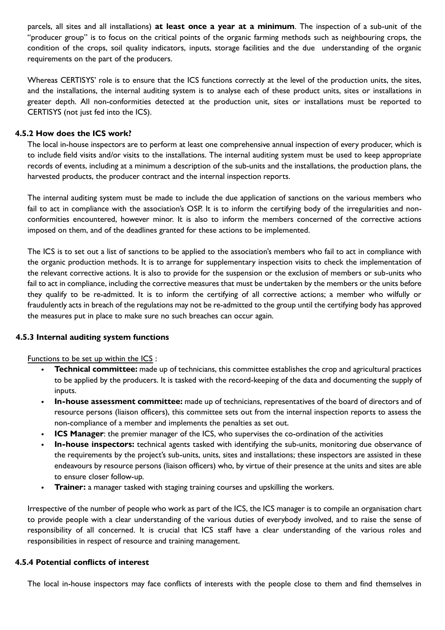parcels, all sites and all installations) **at least once a year at a minimum**. The inspection of a sub-unit of the "producer group" is to focus on the critical points of the organic farming methods such as neighbouring crops, the condition of the crops, soil quality indicators, inputs, storage facilities and the due understanding of the organic requirements on the part of the producers.

Whereas CERTISYS' role is to ensure that the ICS functions correctly at the level of the production units, the sites, and the installations, the internal auditing system is to analyse each of these product units, sites or installations in greater depth. All non-conformities detected at the production unit, sites or installations must be reported to CERTISYS (not just fed into the ICS).

#### **4.5.2 How does the ICS work?**

The local in-house inspectors are to perform at least one comprehensive annual inspection of every producer, which is to include field visits and/or visits to the installations. The internal auditing system must be used to keep appropriate records of events, including at a minimum a description of the sub-units and the installations, the production plans, the harvested products, the producer contract and the internal inspection reports.

The internal auditing system must be made to include the due application of sanctions on the various members who fail to act in compliance with the association's OSP. It is to inform the certifying body of the irregularities and nonconformities encountered, however minor. It is also to inform the members concerned of the corrective actions imposed on them, and of the deadlines granted for these actions to be implemented.

The ICS is to set out a list of sanctions to be applied to the association's members who fail to act in compliance with the organic production methods. It is to arrange for supplementary inspection visits to check the implementation of the relevant corrective actions. It is also to provide for the suspension or the exclusion of members or sub-units who fail to act in compliance, including the corrective measures that must be undertaken by the members or the units before they qualify to be re-admitted. It is to inform the certifying of all corrective actions; a member who wilfully or fraudulently acts in breach of the regulations may not be re-admitted to the group until the certifying body has approved the measures put in place to make sure no such breaches can occur again.

#### **4.5.3 Internal auditing system functions**

Functions to be set up within the ICS :

- **Technical committee:** made up of technicians, this committee establishes the crop and agricultural practices to be applied by the producers. It is tasked with the record-keeping of the data and documenting the supply of inputs.
- **In-house assessment committee:** made up of technicians, representatives of the board of directors and of resource persons (liaison officers), this committee sets out from the internal inspection reports to assess the non-compliance of a member and implements the penalties as set out.
- **ICS Manager**: the premier manager of the ICS, who supervises the co-ordination of the activities
- **In-house inspectors:** technical agents tasked with identifying the sub-units, monitoring due observance of the requirements by the project's sub-units, units, sites and installations; these inspectors are assisted in these endeavours by resource persons (liaison officers) who, by virtue of their presence at the units and sites are able to ensure closer follow-up.
- **Trainer:** a manager tasked with staging training courses and upskilling the workers.

Irrespective of the number of people who work as part of the ICS, the ICS manager is to compile an organisation chart to provide people with a clear understanding of the various duties of everybody involved, and to raise the sense of responsibility of all concerned. It is crucial that ICS staff have a clear understanding of the various roles and responsibilities in respect of resource and training management.

#### **4.5.4 Potential conflicts of interest**

The local in-house inspectors may face conflicts of interests with the people close to them and find themselves in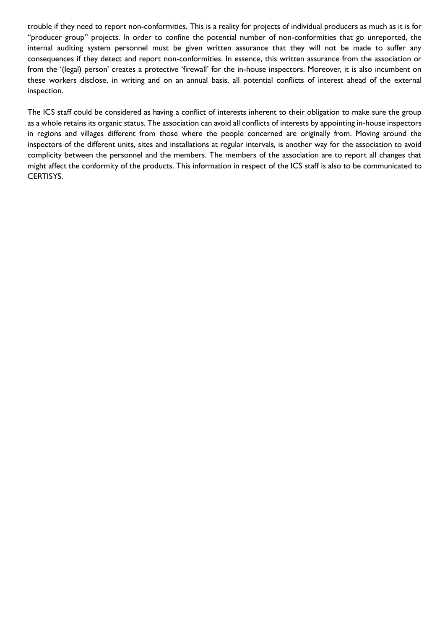trouble if they need to report non-conformities. This is a reality for projects of individual producers as much as it is for "producer group" projects. In order to confine the potential number of non-conformities that go unreported, the internal auditing system personnel must be given written assurance that they will not be made to suffer any consequences if they detect and report non-conformities. In essence, this written assurance from the association or from the '(legal) person' creates a protective 'firewall' for the in-house inspectors. Moreover, it is also incumbent on these workers disclose, in writing and on an annual basis, all potential conflicts of interest ahead of the external inspection.

The ICS staff could be considered as having a conflict of interests inherent to their obligation to make sure the group as a whole retains its organic status. The association can avoid all conflicts of interests by appointing in-house inspectors in regions and villages different from those where the people concerned are originally from. Moving around the inspectors of the different units, sites and installations at regular intervals, is another way for the association to avoid complicity between the personnel and the members. The members of the association are to report all changes that might affect the conformity of the products. This information in respect of the ICS staff is also to be communicated to CERTISYS.